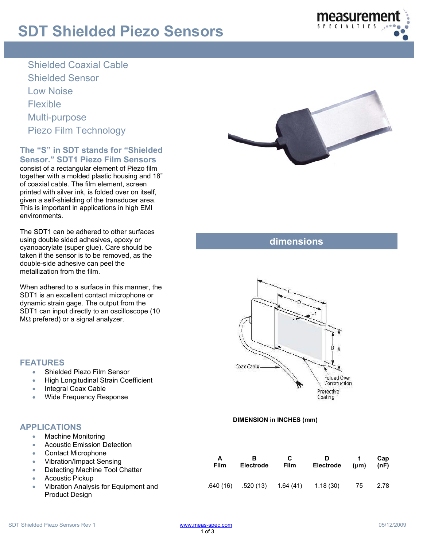# **SDT Shielded Piezo Sensors**



Shielded Coaxial Cable Shielded Sensor Low Noise Flexible Multi-purpose Piezo Film Technology

### **The "S" in SDT stands for "Shielded Sensor." SDT1 Piezo Film Sensors**

consist of a rectangular element of Piezo film together with a molded plastic housing and 18" of coaxial cable. The film element, screen printed with silver ink, is folded over on itself, given a self-shielding of the transducer area. This is important in applications in high EMI environments.

The SDT1 can be adhered to other surfaces using double sided adhesives, epoxy or cyanoacrylate (super glue). Care should be taken if the sensor is to be removed, as the double-side adhesive can peel the metallization from the film.

When adhered to a surface in this manner, the SDT1 is an excellent contact microphone or dynamic strain gage. The output from the SDT1 can input directly to an oscilloscope (10 MΩ prefered) or a signal analyzer.

• Shielded Piezo Film Sensor

• Wide Frequency Response

• Integral Coax Cable

• High Longitudinal Strain Coefficient



## **dimensions**



### **DIMENSION in INCHES (mm)**

#### • Machine Monitoring • Acoustic Emission Detection • Contact Microphone • Vibration/Impact Sensing • Detecting Machine Tool Chatter **Acoustic Pickup** • Vibration Analysis for Equipment and **A Film B Electrode C Film D Electrode**  .640 (16) .520 (13) 1.64 (41) 1.18 (30) 75 2.78

Product Design

**APPLICATIONS** 

**FEATURES** 

**Cap (nF)** 

**t (μm)**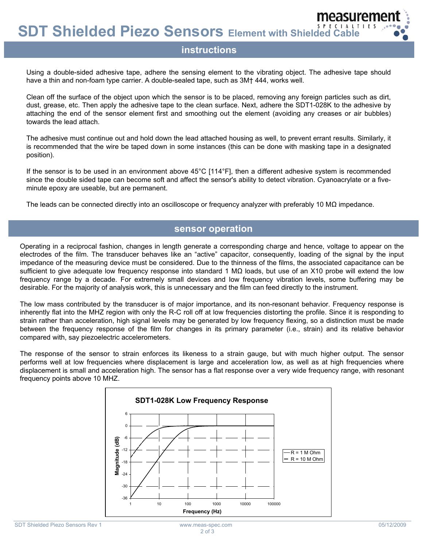**SDT Shielded Piezo Sensors Element with Shielded Cable** 

### **instructions**

Using a double-sided adhesive tape, adhere the sensing element to the vibrating object. The adhesive tape should have a thin and non-foam type carrier. A double-sealed tape, such as 3M† 444, works well.

Clean off the surface of the object upon which the sensor is to be placed, removing any foreign particles such as dirt, dust, grease, etc. Then apply the adhesive tape to the clean surface. Next, adhere the SDT1-028K to the adhesive by attaching the end of the sensor element first and smoothing out the element (avoiding any creases or air bubbles) towards the lead attach.

The adhesive must continue out and hold down the lead attached housing as well, to prevent errant results. Similarly, it is recommended that the wire be taped down in some instances (this can be done with masking tape in a designated position).

If the sensor is to be used in an environment above 45°C [114°F], then a different adhesive system is recommended since the double sided tape can become soft and affect the sensor's ability to detect vibration. Cyanoacrylate or a fiveminute epoxy are useable, but are permanent.

The leads can be connected directly into an oscilloscope or frequency analyzer with preferably 10 MΩ impedance.

### **sensor operation**

Operating in a reciprocal fashion, changes in length generate a corresponding charge and hence, voltage to appear on the electrodes of the film. The transducer behaves like an "active" capacitor, consequently, loading of the signal by the input impedance of the measuring device must be considered. Due to the thinness of the films, the associated capacitance can be sufficient to give adequate low frequency response into standard 1 MΩ loads, but use of an X10 probe will extend the low frequency range by a decade. For extremely small devices and low frequency vibration levels, some buffering may be desirable. For the majority of analysis work, this is unnecessary and the film can feed directly to the instrument.

The low mass contributed by the transducer is of major importance, and its non-resonant behavior. Frequency response is inherently flat into the MHZ region with only the R-C roll off at low frequencies distorting the profile. Since it is responding to strain rather than acceleration, high signal levels may be generated by low frequency flexing, so a distinction must be made between the frequency response of the film for changes in its primary parameter (i.e., strain) and its relative behavior compared with, say piezoelectric accelerometers.

The response of the sensor to strain enforces its likeness to a strain gauge, but with much higher output. The sensor performs well at low frequencies where displacement is large and acceleration low, as well as at high frequencies where displacement is small and acceleration high. The sensor has a flat response over a very wide frequency range, with resonant frequency points above 10 MHZ.



neasureme